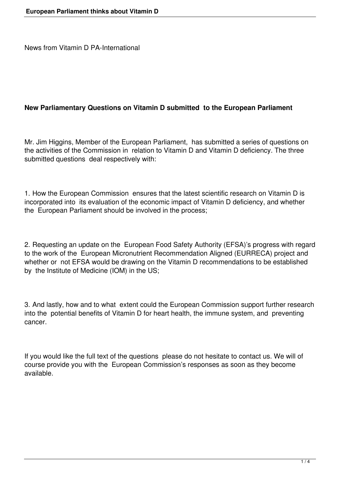News from Vitamin D PA-International

## **New Parliamentary Questions on Vitamin D submitted to the European Parliament**

Mr. Jim Higgins, Member of the European Parliament, has submitted a series of questions on the activities of the Commission in relation to Vitamin D and Vitamin D deficiency. The three submitted questions deal respectively with:

1. How the European Commission ensures that the latest scientific research on Vitamin D is incorporated into its evaluation of the economic impact of Vitamin D deficiency, and whether the European Parliament should be involved in the process;

2. Requesting an update on the European Food Safety Authority (EFSA)'s progress with regard to the work of the European Micronutrient Recommendation Aligned (EURRECA) project and whether or not EFSA would be drawing on the Vitamin D recommendations to be established by the Institute of Medicine (IOM) in the US;

3. And lastly, how and to what extent could the European Commission support further research into the potential benefits of Vitamin D for heart health, the immune system, and preventing cancer.

If you would like the full text of the questions please do not hesitate to contact us. We will of course provide you with the European Commission's responses as soon as they become available.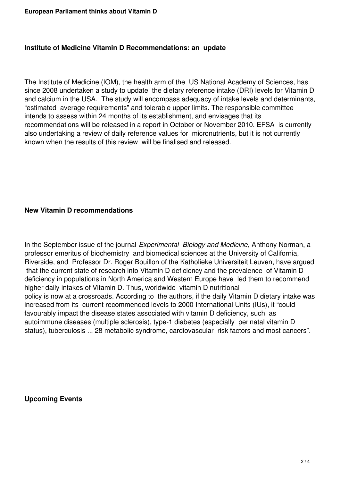## **Institute of Medicine Vitamin D Recommendations: an update**

The Institute of Medicine (IOM), the health arm of the US National Academy of Sciences, has since 2008 undertaken a study to update the dietary reference intake (DRI) levels for Vitamin D and calcium in the USA. The study will encompass adequacy of intake levels and determinants, "estimated average requirements" and tolerable upper limits. The responsible committee intends to assess within 24 months of its establishment, and envisages that its recommendations will be released in a report in October or November 2010. EFSA is currently also undertaking a review of daily reference values for micronutrients, but it is not currently known when the results of this review will be finalised and released.

## **New Vitamin D recommendations**

In the September issue of the journal *Experimental Biology and Medicine*, Anthony Norman, a professor emeritus of biochemistry and biomedical sciences at the University of California, Riverside, and Professor Dr. Roger Bouillon of the Katholieke Universiteit Leuven, have argued that the current state of research into Vitamin D deficiency and the prevalence of Vitamin D deficiency in populations in North America and Western Europe have led them to recommend higher daily intakes of Vitamin D. Thus, worldwide vitamin D nutritional policy is now at a crossroads. According to the authors, if the daily Vitamin D dietary intake was increased from its current recommended levels to 2000 International Units (IUs), it "could favourably impact the disease states associated with vitamin D deficiency, such as autoimmune diseases (multiple sclerosis), type-1 diabetes (especially perinatal vitamin D status), tuberculosis ... 28 metabolic syndrome, cardiovascular risk factors and most cancers".

**Upcoming Events**